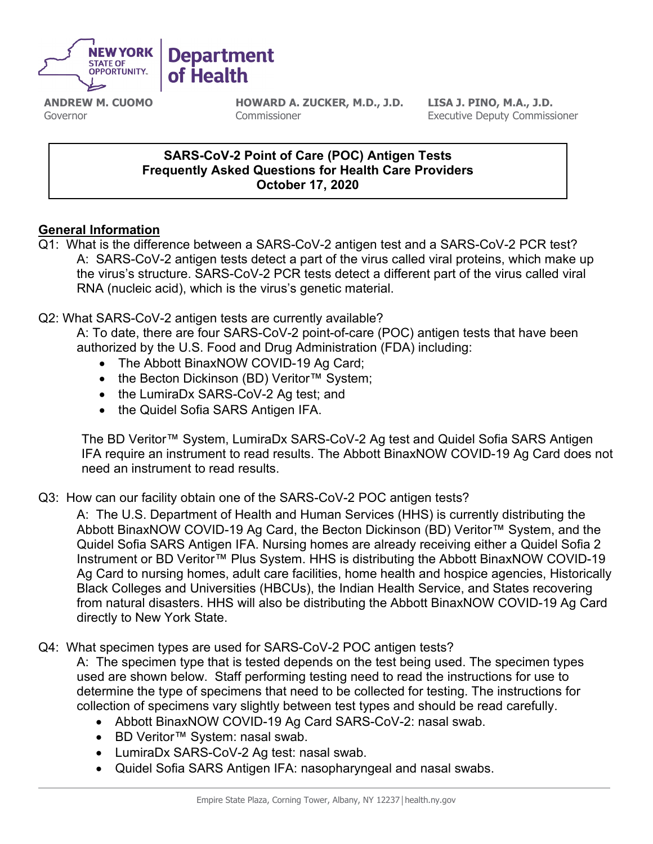



**ANDREW M. CUOMO** Governor

**HOWARD A. ZUCKER, M.D., J.D. Commissioner** 

**LISA J. PINO, M.A., J.D.** Executive Deputy Commissioner

### **SARS-CoV-2 Point of Care (POC) Antigen Tests Frequently Asked Questions for Health Care Providers October 17, 2020**

## **General Information**

- Q1: What is the difference between a SARS-CoV-2 antigen test and a SARS-CoV-2 PCR test? A: SARS-CoV-2 antigen tests detect a part of the virus called viral proteins, which make up the virus's structure. SARS-CoV-2 PCR tests detect a different part of the virus called viral RNA (nucleic acid), which is the virus's genetic material.
- Q2: What SARS-CoV-2 antigen tests are currently available?

A: To date, there are four SARS-CoV-2 point-of-care (POC) antigen tests that have been authorized by the U.S. Food and Drug Administration (FDA) including:

- The Abbott BinaxNOW COVID-19 Ag Card;
- the Becton Dickinson (BD) Veritor™ System;
- the LumiraDx SARS-CoV-2 Ag test; and
- the Quidel Sofia SARS Antigen IFA.

The BD Veritor™ System, LumiraDx SARS-CoV-2 Ag test and Quidel Sofia SARS Antigen IFA require an instrument to read results. The Abbott BinaxNOW COVID-19 Ag Card does not need an instrument to read results.

Q3: How can our facility obtain one of the SARS-CoV-2 POC antigen tests?

A: The U.S. Department of Health and Human Services (HHS) is currently distributing the Abbott BinaxNOW COVID-19 Ag Card, the Becton Dickinson (BD) Veritor™ System, and the Quidel Sofia SARS Antigen IFA. Nursing homes are already receiving either a Quidel Sofia 2 Instrument or BD Veritor™ Plus System. HHS is distributing the Abbott BinaxNOW COVID-19 Ag Card to nursing homes, adult care facilities, home health and hospice agencies, Historically Black Colleges and Universities (HBCUs), the Indian Health Service, and States recovering from natural disasters. HHS will also be distributing the Abbott BinaxNOW COVID-19 Ag Card directly to New York State.

Q4: What specimen types are used for SARS-CoV-2 POC antigen tests?

A: The specimen type that is tested depends on the test being used. The specimen types used are shown below. Staff performing testing need to read the instructions for use to determine the type of specimens that need to be collected for testing. The instructions for collection of specimens vary slightly between test types and should be read carefully.

- Abbott BinaxNOW COVID-19 Ag Card SARS-CoV-2: nasal swab.
- BD Veritor™ System: nasal swab.
- LumiraDx SARS-CoV-2 Ag test: nasal swab.
- Quidel Sofia SARS Antigen IFA: nasopharyngeal and nasal swabs.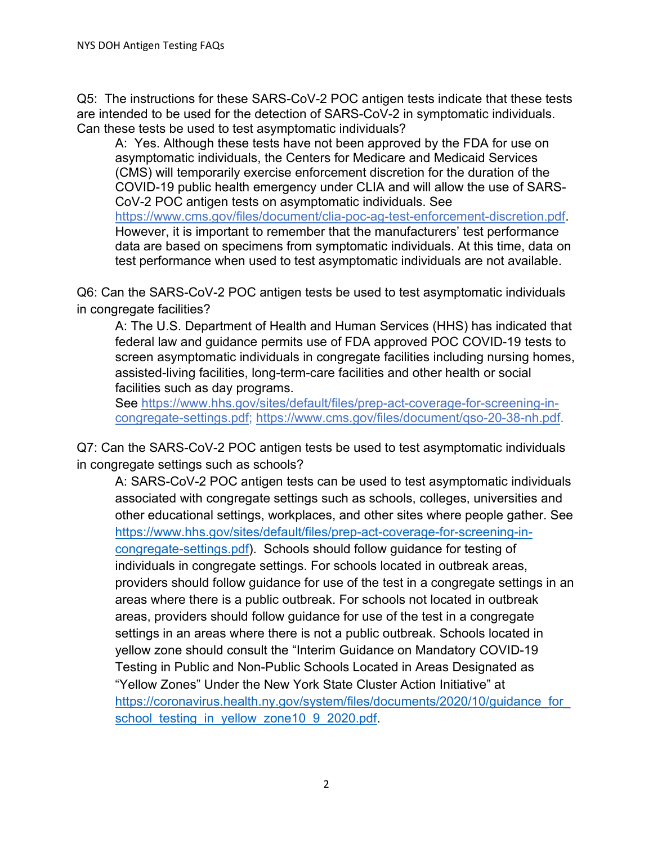Q5: The instructions for these SARS-CoV-2 POC antigen tests indicate that these tests are intended to be used for the detection of SARS-CoV-2 in symptomatic individuals. Can these tests be used to test asymptomatic individuals?

A: Yes. Although these tests have not been approved by the FDA for use on asymptomatic individuals, the Centers for Medicare and Medicaid Services (CMS) will temporarily exercise enforcement discretion for the duration of the COVID-19 public health emergency under CLIA and will allow the use of SARS-CoV-2 POC antigen tests on asymptomatic individuals. See [https://www.cms.gov/files/document/clia-poc-ag-test-enforcement-discretion.pdf.](https://www.cms.gov/files/document/clia-poc-ag-test-enforcement-discretion.pdf) However, it is important to remember that the manufacturers' test performance data are based on specimens from symptomatic individuals. At this time, data on test performance when used to test asymptomatic individuals are not available.

Q6: Can the SARS-CoV-2 POC antigen tests be used to test asymptomatic individuals in congregate facilities?

A: The U.S. Department of Health and Human Services (HHS) has indicated that federal law and guidance permits use of FDA approved POC COVID-19 tests to screen asymptomatic individuals in congregate facilities including nursing homes, assisted-living facilities, long-term-care facilities and other health or social facilities such as day programs.

See [https://www.hhs.gov/sites/default/files/prep-act-coverage-for-screening-in](https://www.hhs.gov/sites/default/files/prep-act-coverage-for-screening-in-congregate-settings.pdf)[congregate-settings.pdf;](https://www.hhs.gov/sites/default/files/prep-act-coverage-for-screening-in-congregate-settings.pdf) [https://www.cms.gov/files/document/qso-20-38-nh.pdf.](https://www.cms.gov/files/document/qso-20-38-nh.pdf)

Q7: Can the SARS-CoV-2 POC antigen tests be used to test asymptomatic individuals in congregate settings such as schools?

A: SARS-CoV-2 POC antigen tests can be used to test asymptomatic individuals associated with congregate settings such as schools, colleges, universities and other educational settings, workplaces, and other sites where people gather. See [https://www.hhs.gov/sites/default/files/prep-act-coverage-for-screening-in](https://www.hhs.gov/sites/default/files/prep-act-coverage-for-screening-in-congregate-settings.pdf)[congregate-settings.pdf\)](https://www.hhs.gov/sites/default/files/prep-act-coverage-for-screening-in-congregate-settings.pdf). Schools should follow guidance for testing of individuals in congregate settings. For schools located in outbreak areas, providers should follow guidance for use of the test in a congregate settings in an areas where there is a public outbreak. For schools not located in outbreak areas, providers should follow guidance for use of the test in a congregate settings in an areas where there is not a public outbreak. Schools located in yellow zone should consult the "Interim Guidance on Mandatory COVID-19 Testing in Public and Non-Public Schools Located in Areas Designated as "Yellow Zones" Under the New York State Cluster Action Initiative" at https://coronavirus.health.ny.gov/system/files/documents/2020/10/guidance\_for school testing in yellow zone10\_9\_2020.pdf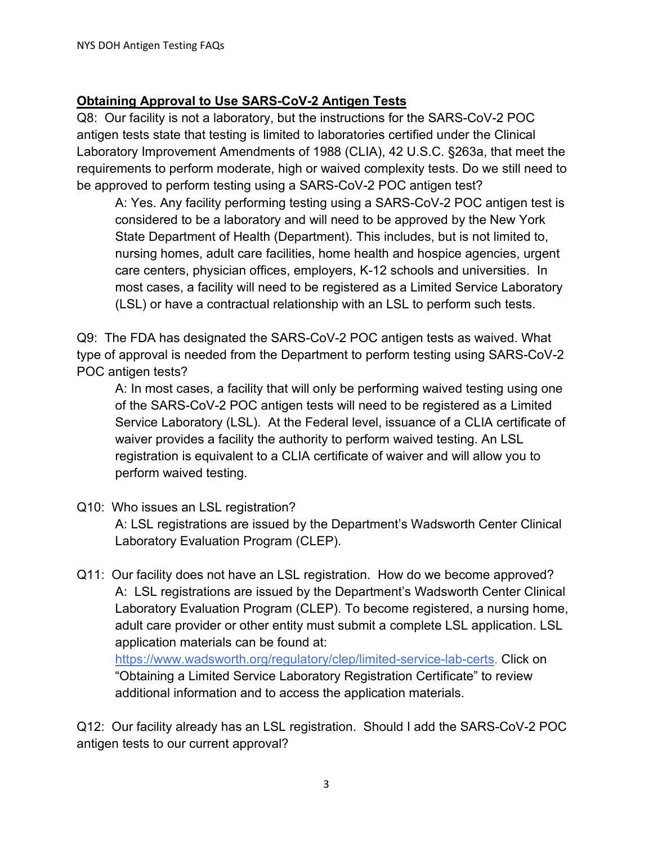# **Obtaining Approval to Use SARS-CoV-2 Antigen Tests**

Q8: Our facility is not a laboratory, but the instructions for the SARS-CoV-2 POC antigen tests state that testing is limited to laboratories certified under the Clinical Laboratory Improvement Amendments of 1988 (CLIA), 42 U.S.C. §263a, that meet the requirements to perform moderate, high or waived complexity tests. Do we still need to be approved to perform testing using a SARS-CoV-2 POC antigen test?

A: Yes. Any facility performing testing using a SARS-CoV-2 POC antigen test is considered to be a laboratory and will need to be approved by the New York State Department of Health (Department). This includes, but is not limited to, nursing homes, adult care facilities, home health and hospice agencies, urgent care centers, physician offices, employers, K-12 schools and universities. In most cases, a facility will need to be registered as a Limited Service Laboratory (LSL) or have a contractual relationship with an LSL to perform such tests.

Q9: The FDA has designated the SARS-CoV-2 POC antigen tests as waived. What type of approval is needed from the Department to perform testing using SARS-CoV-2 POC antigen tests?

A: In most cases, a facility that will only be performing waived testing using one of the SARS-CoV-2 POC antigen tests will need to be registered as a Limited Service Laboratory (LSL). At the Federal level, issuance of a CLIA certificate of waiver provides a facility the authority to perform waived testing. An LSL registration is equivalent to a CLIA certificate of waiver and will allow you to perform waived testing.

- Q10: Who issues an LSL registration? A: LSL registrations are issued by the Department's Wadsworth Center Clinical Laboratory Evaluation Program (CLEP).
- Q11: Our facility does not have an LSL registration. How do we become approved? A: LSL registrations are issued by the Department's Wadsworth Center Clinical Laboratory Evaluation Program (CLEP). To become registered, a nursing home, adult care provider or other entity must submit a complete LSL application. LSL application materials can be found at:

[https://www.wadsworth.org/regulatory/clep/limited-service-lab-certs.](https://www.wadsworth.org/regulatory/clep/limited-service-lab-certs) Click on "Obtaining a Limited Service Laboratory Registration Certificate" to review additional information and to access the application materials.

Q12: Our facility already has an LSL registration. Should I add the SARS-CoV-2 POC antigen tests to our current approval?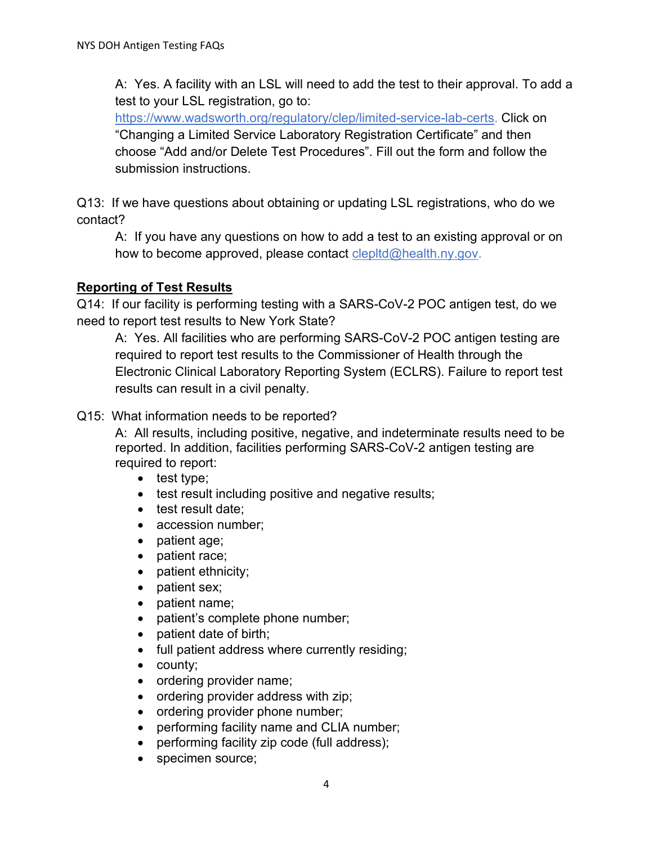A: Yes. A facility with an LSL will need to add the test to their approval. To add a test to your LSL registration, go to:

[https://www.wadsworth.org/regulatory/clep/limited-service-lab-certs.](https://www.wadsworth.org/regulatory/clep/limited-service-lab-certs) Click on "Changing a Limited Service Laboratory Registration Certificate" and then choose "Add and/or Delete Test Procedures". Fill out the form and follow the submission instructions.

Q13: If we have questions about obtaining or updating LSL registrations, who do we contact?

A: If you have any questions on how to add a test to an existing approval or on how to become approved, please contact clepitd@health.ny.gov.

### **Reporting of Test Results**

Q14: If our facility is performing testing with a SARS-CoV-2 POC antigen test, do we need to report test results to New York State?

A: Yes. All facilities who are performing SARS-CoV-2 POC antigen testing are required to report test results to the Commissioner of Health through the Electronic Clinical Laboratory Reporting System (ECLRS). Failure to report test results can result in a civil penalty.

Q15: What information needs to be reported?

A: All results, including positive, negative, and indeterminate results need to be reported. In addition, facilities performing SARS-CoV-2 antigen testing are required to report:

- test type;
- test result including positive and negative results;
- test result date;
- accession number;
- patient age;
- patient race;
- patient ethnicity;
- patient sex;
- patient name;
- patient's complete phone number;
- patient date of birth;
- full patient address where currently residing;
- county;
- ordering provider name;
- ordering provider address with zip;
- ordering provider phone number;
- performing facility name and CLIA number;
- performing facility zip code (full address);
- specimen source;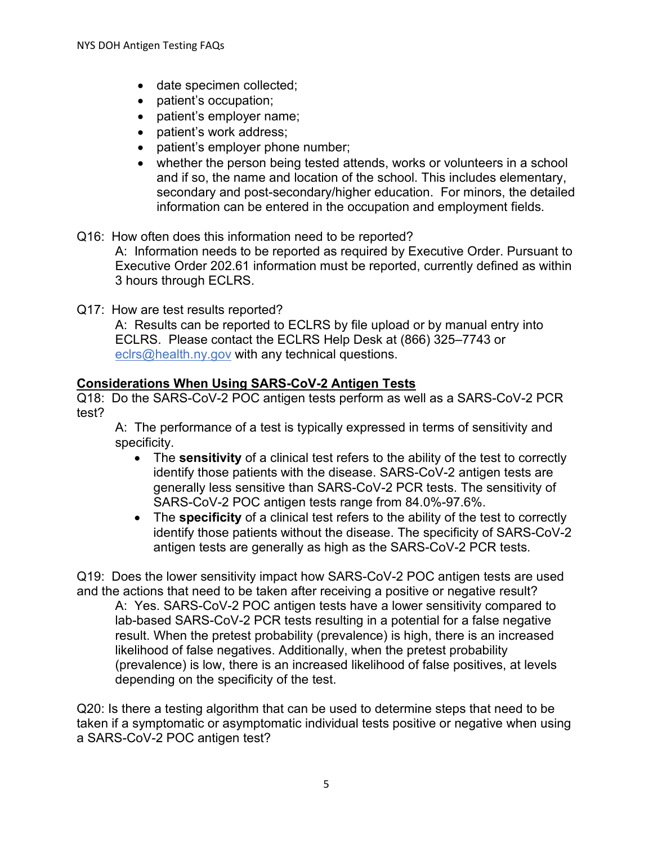- date specimen collected;
- patient's occupation;
- patient's employer name;
- patient's work address;
- patient's employer phone number;
- whether the person being tested attends, works or volunteers in a school and if so, the name and location of the school. This includes elementary, secondary and post-secondary/higher education. For minors, the detailed information can be entered in the occupation and employment fields.
- Q16: How often does this information need to be reported? A: Information needs to be reported as required by Executive Order. Pursuant to Executive Order 202.61 information must be reported, currently defined as within 3 hours through ECLRS.
- Q17: How are test results reported?

A: Results can be reported to ECLRS by file upload or by manual entry into ECLRS. Please contact the ECLRS Help Desk at (866) 325–7743 or [eclrs@health.ny.gov](mailto:eclrs@health.ny.gov) with any technical questions.

### **Considerations When Using SARS-CoV-2 Antigen Tests**

Q18: Do the SARS-CoV-2 POC antigen tests perform as well as a SARS-CoV-2 PCR test?

A: The performance of a test is typically expressed in terms of sensitivity and specificity.

- The **sensitivity** of a clinical test refers to the ability of the test to correctly identify those patients with the disease. SARS-CoV-2 antigen tests are generally less sensitive than SARS-CoV-2 PCR tests. The sensitivity of SARS-CoV-2 POC antigen tests range from 84.0%-97.6%.
- The **specificity** of a clinical test refers to the ability of the test to correctly identify those patients without the disease. The specificity of SARS-CoV-2 antigen tests are generally as high as the SARS-CoV-2 PCR tests.

Q19: Does the lower sensitivity impact how SARS-CoV-2 POC antigen tests are used and the actions that need to be taken after receiving a positive or negative result?

A: Yes. SARS-CoV-2 POC antigen tests have a lower sensitivity compared to lab-based SARS-CoV-2 PCR tests resulting in a potential for a false negative result. When the pretest probability (prevalence) is high, there is an increased likelihood of false negatives. Additionally, when the pretest probability (prevalence) is low, there is an increased likelihood of false positives, at levels depending on the specificity of the test.

Q20: Is there a testing algorithm that can be used to determine steps that need to be taken if a symptomatic or asymptomatic individual tests positive or negative when using a SARS-CoV-2 POC antigen test?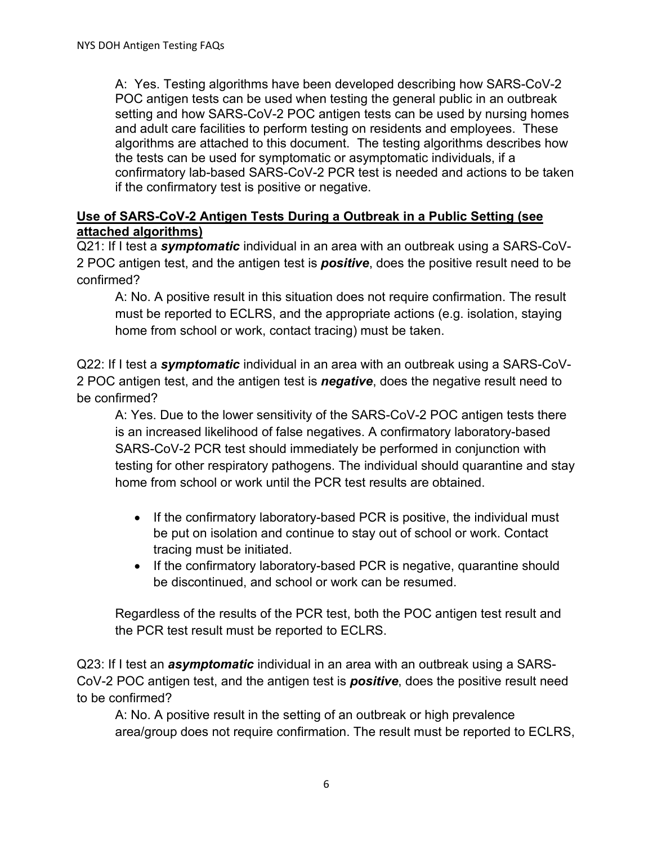A: Yes. Testing algorithms have been developed describing how SARS-CoV-2 POC antigen tests can be used when testing the general public in an outbreak setting and how SARS-CoV-2 POC antigen tests can be used by nursing homes and adult care facilities to perform testing on residents and employees. These algorithms are attached to this document. The testing algorithms describes how the tests can be used for symptomatic or asymptomatic individuals, if a confirmatory lab-based SARS-CoV-2 PCR test is needed and actions to be taken if the confirmatory test is positive or negative.

## **Use of SARS-CoV-2 Antigen Tests During a Outbreak in a Public Setting (see attached algorithms)**

Q21: If I test a *symptomatic* individual in an area with an outbreak using a SARS-CoV-2 POC antigen test, and the antigen test is *positive*, does the positive result need to be confirmed?

A: No. A positive result in this situation does not require confirmation. The result must be reported to ECLRS, and the appropriate actions (e.g. isolation, staying home from school or work, contact tracing) must be taken.

Q22: If I test a *symptomatic* individual in an area with an outbreak using a SARS-CoV-2 POC antigen test, and the antigen test is *negative*, does the negative result need to be confirmed?

A: Yes. Due to the lower sensitivity of the SARS-CoV-2 POC antigen tests there is an increased likelihood of false negatives. A confirmatory laboratory-based SARS-CoV-2 PCR test should immediately be performed in conjunction with testing for other respiratory pathogens. The individual should quarantine and stay home from school or work until the PCR test results are obtained.

- If the confirmatory laboratory-based PCR is positive, the individual must be put on isolation and continue to stay out of school or work. Contact tracing must be initiated.
- If the confirmatory laboratory-based PCR is negative, quarantine should be discontinued, and school or work can be resumed.

Regardless of the results of the PCR test, both the POC antigen test result and the PCR test result must be reported to ECLRS.

Q23: If I test an *asymptomatic* individual in an area with an outbreak using a SARS-CoV-2 POC antigen test, and the antigen test is *positive*, does the positive result need to be confirmed?

A: No. A positive result in the setting of an outbreak or high prevalence area/group does not require confirmation. The result must be reported to ECLRS,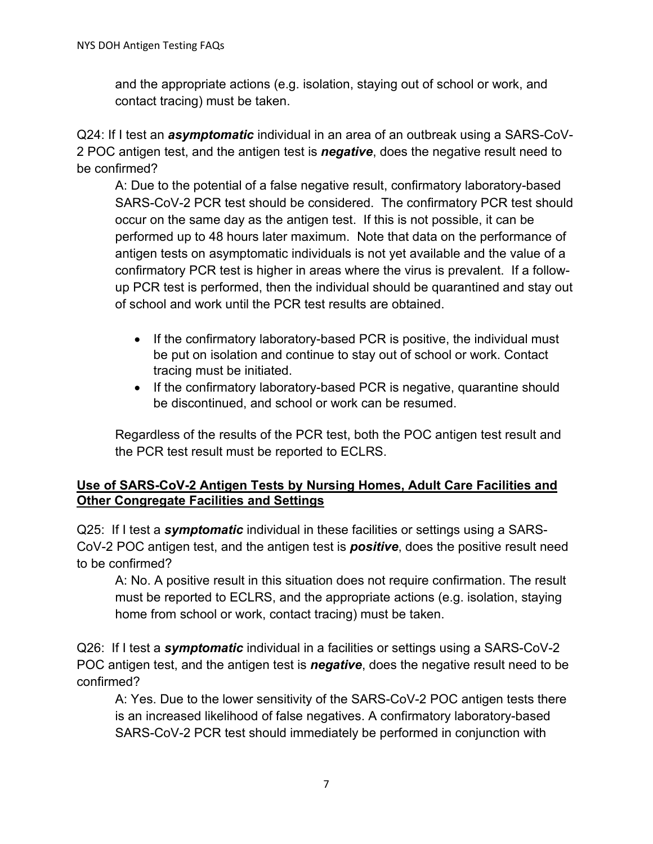and the appropriate actions (e.g. isolation, staying out of school or work, and contact tracing) must be taken.

Q24: If I test an *asymptomatic* individual in an area of an outbreak using a SARS-CoV-2 POC antigen test, and the antigen test is *negative*, does the negative result need to be confirmed?

A: Due to the potential of a false negative result, confirmatory laboratory-based SARS-CoV-2 PCR test should be considered. The confirmatory PCR test should occur on the same day as the antigen test. If this is not possible, it can be performed up to 48 hours later maximum. Note that data on the performance of antigen tests on asymptomatic individuals is not yet available and the value of a confirmatory PCR test is higher in areas where the virus is prevalent. If a followup PCR test is performed, then the individual should be quarantined and stay out of school and work until the PCR test results are obtained.

- If the confirmatory laboratory-based PCR is positive, the individual must be put on isolation and continue to stay out of school or work. Contact tracing must be initiated.
- If the confirmatory laboratory-based PCR is negative, quarantine should be discontinued, and school or work can be resumed.

Regardless of the results of the PCR test, both the POC antigen test result and the PCR test result must be reported to ECLRS.

# **Use of SARS-CoV-2 Antigen Tests by Nursing Homes, Adult Care Facilities and Other Congregate Facilities and Settings**

Q25: If I test a *symptomatic* individual in these facilities or settings using a SARS-CoV-2 POC antigen test, and the antigen test is *positive*, does the positive result need to be confirmed?

A: No. A positive result in this situation does not require confirmation. The result must be reported to ECLRS, and the appropriate actions (e.g. isolation, staying home from school or work, contact tracing) must be taken.

Q26: If I test a *symptomatic* individual in a facilities or settings using a SARS-CoV-2 POC antigen test, and the antigen test is *negative*, does the negative result need to be confirmed?

A: Yes. Due to the lower sensitivity of the SARS-CoV-2 POC antigen tests there is an increased likelihood of false negatives. A confirmatory laboratory-based SARS-CoV-2 PCR test should immediately be performed in conjunction with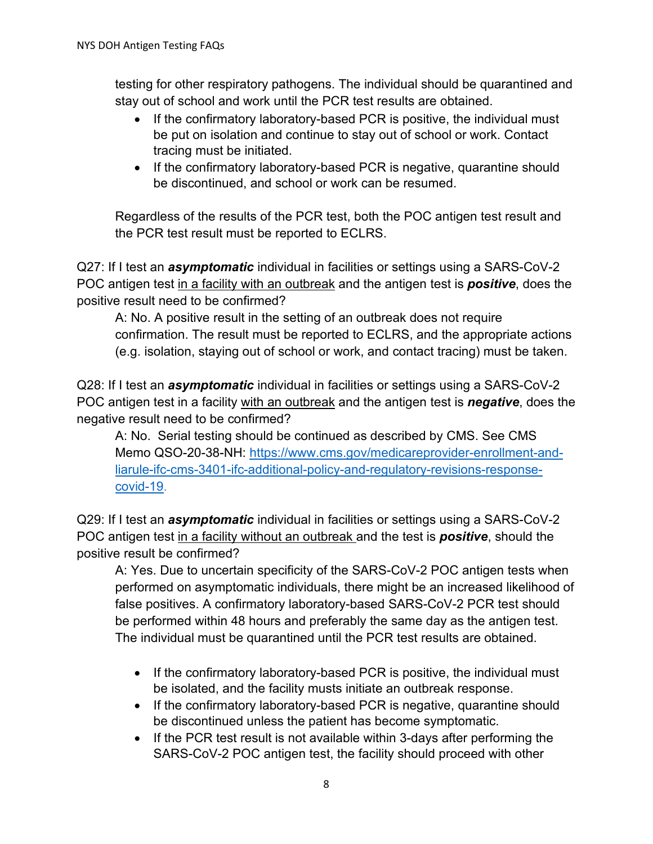testing for other respiratory pathogens. The individual should be quarantined and stay out of school and work until the PCR test results are obtained.

- If the confirmatory laboratory-based PCR is positive, the individual must be put on isolation and continue to stay out of school or work. Contact tracing must be initiated.
- If the confirmatory laboratory-based PCR is negative, quarantine should be discontinued, and school or work can be resumed.

Regardless of the results of the PCR test, both the POC antigen test result and the PCR test result must be reported to ECLRS.

Q27: If I test an *asymptomatic* individual in facilities or settings using a SARS-CoV-2 POC antigen test in a facility with an outbreak and the antigen test is *positive*, does the positive result need to be confirmed?

A: No. A positive result in the setting of an outbreak does not require confirmation. The result must be reported to ECLRS, and the appropriate actions (e.g. isolation, staying out of school or work, and contact tracing) must be taken.

Q28: If I test an *asymptomatic* individual in facilities or settings using a SARS-CoV-2 POC antigen test in a facility with an outbreak and the antigen test is *negative*, does the negative result need to be confirmed?

A: No. Serial testing should be continued as described by CMS. See CMS Memo QSO-20-38-NH: [https://www.cms.gov/medicareprovider-enrollment-and](https://www.cms.gov/medicareprovider-enrollment-and-liarule-ifc-cms-3401-ifc-additional-policy-and-regulatory-revisions-response-covid-19)[liarule-ifc-cms-3401-ifc-additional-policy-and-regulatory-revisions-response](https://www.cms.gov/medicareprovider-enrollment-and-liarule-ifc-cms-3401-ifc-additional-policy-and-regulatory-revisions-response-covid-19)[covid-19.](https://www.cms.gov/medicareprovider-enrollment-and-liarule-ifc-cms-3401-ifc-additional-policy-and-regulatory-revisions-response-covid-19)

Q29: If I test an *asymptomatic* individual in facilities or settings using a SARS-CoV-2 POC antigen test in a facility without an outbreak and the test is *positive*, should the positive result be confirmed?

A: Yes. Due to uncertain specificity of the SARS-CoV-2 POC antigen tests when performed on asymptomatic individuals, there might be an increased likelihood of false positives. A confirmatory laboratory-based SARS-CoV-2 PCR test should be performed within 48 hours and preferably the same day as the antigen test. The individual must be quarantined until the PCR test results are obtained.

- If the confirmatory laboratory-based PCR is positive, the individual must be isolated, and the facility musts initiate an outbreak response.
- If the confirmatory laboratory-based PCR is negative, quarantine should be discontinued unless the patient has become symptomatic.
- If the PCR test result is not available within 3-days after performing the SARS-CoV-2 POC antigen test, the facility should proceed with other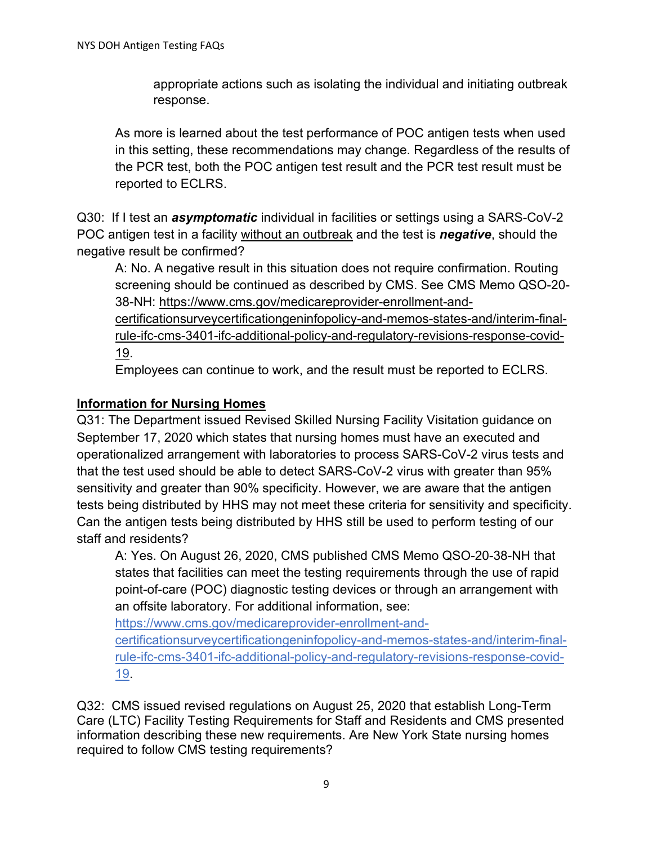appropriate actions such as isolating the individual and initiating outbreak response.

As more is learned about the test performance of POC antigen tests when used in this setting, these recommendations may change. Regardless of the results of the PCR test, both the POC antigen test result and the PCR test result must be reported to ECLRS.

Q30: If I test an *asymptomatic* individual in facilities or settings using a SARS-CoV-2 POC antigen test in a facility without an outbreak and the test is *negative*, should the negative result be confirmed?

A: No. A negative result in this situation does not require confirmation. Routing screening should be continued as described by CMS. See CMS Memo QSO-20- 38-NH: [https://www.cms.gov/medicareprovider-enrollment-and-](https://www.cms.gov/medicareprovider-enrollment-and-certificationsurveycertificationgeninfopolicy-and-memos-states-and/interim-final-rule-ifc-cms-3401-ifc-additional-policy-and-regulatory-revisions-response-covid-19)

[certificationsurveycertificationgeninfopolicy-and-memos-states-and/interim-final](https://www.cms.gov/medicareprovider-enrollment-and-certificationsurveycertificationgeninfopolicy-and-memos-states-and/interim-final-rule-ifc-cms-3401-ifc-additional-policy-and-regulatory-revisions-response-covid-19)[rule-ifc-cms-3401-ifc-additional-policy-and-regulatory-revisions-response-covid-](https://www.cms.gov/medicareprovider-enrollment-and-certificationsurveycertificationgeninfopolicy-and-memos-states-and/interim-final-rule-ifc-cms-3401-ifc-additional-policy-and-regulatory-revisions-response-covid-19)[19.](https://www.cms.gov/medicareprovider-enrollment-and-certificationsurveycertificationgeninfopolicy-and-memos-states-and/interim-final-rule-ifc-cms-3401-ifc-additional-policy-and-regulatory-revisions-response-covid-19)

Employees can continue to work, and the result must be reported to ECLRS.

### **Information for Nursing Homes**

Q31: The Department issued Revised Skilled Nursing Facility Visitation guidance on September 17, 2020 which states that nursing homes must have an executed and operationalized arrangement with laboratories to process SARS-CoV-2 virus tests and that the test used should be able to detect SARS-CoV-2 virus with greater than 95% sensitivity and greater than 90% specificity. However, we are aware that the antigen tests being distributed by HHS may not meet these criteria for sensitivity and specificity. Can the antigen tests being distributed by HHS still be used to perform testing of our staff and residents?

A: Yes. On August 26, 2020, CMS published CMS Memo QSO-20-38-NH that states that facilities can meet the testing requirements through the use of rapid point-of-care (POC) diagnostic testing devices or through an arrangement with an offsite laboratory. For additional information, see:

[https://www.cms.gov/medicareprovider-enrollment-and](https://www.cms.gov/medicareprovider-enrollment-and-certificationsurveycertificationgeninfopolicy-and-memos-states-and/interim-final-rule-ifc-cms-3401-ifc-additional-policy-and-regulatory-revisions-response-covid-19)[certificationsurveycertificationgeninfopolicy-and-memos-states-and/interim-final](https://www.cms.gov/medicareprovider-enrollment-and-certificationsurveycertificationgeninfopolicy-and-memos-states-and/interim-final-rule-ifc-cms-3401-ifc-additional-policy-and-regulatory-revisions-response-covid-19)[rule-ifc-cms-3401-ifc-additional-policy-and-regulatory-revisions-response-covid-](https://www.cms.gov/medicareprovider-enrollment-and-certificationsurveycertificationgeninfopolicy-and-memos-states-and/interim-final-rule-ifc-cms-3401-ifc-additional-policy-and-regulatory-revisions-response-covid-19)[19.](https://www.cms.gov/medicareprovider-enrollment-and-certificationsurveycertificationgeninfopolicy-and-memos-states-and/interim-final-rule-ifc-cms-3401-ifc-additional-policy-and-regulatory-revisions-response-covid-19)

Q32: CMS issued revised regulations on August 25, 2020 that establish Long-Term Care (LTC) Facility Testing Requirements for Staff and Residents and CMS presented information describing these new requirements. Are New York State nursing homes required to follow CMS testing requirements?